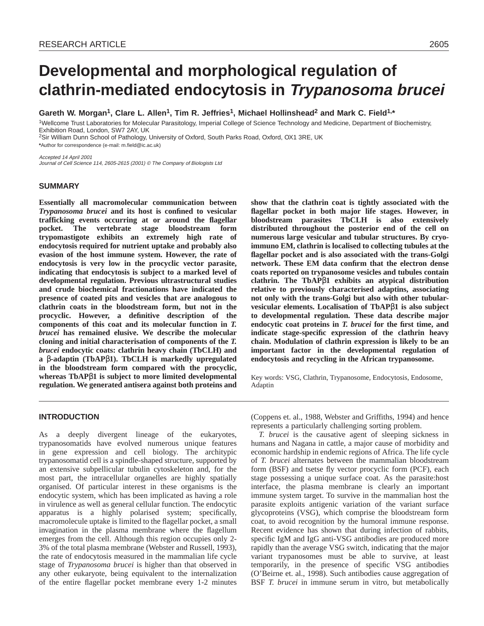# **Developmental and morphological regulation of clathrin-mediated endocytosis in Trypanosoma brucei**

Gareth W. Morgan<sup>1</sup>, Clare L. Allen<sup>1</sup>, Tim R. Jeffries<sup>1</sup>, Michael Hollinshead<sup>2</sup> and Mark C. Field<sup>1,\*</sup>

1Wellcome Trust Laboratories for Molecular Parasitology, Imperial College of Science Technology and Medicine, Department of Biochemistry, Exhibition Road, London, SW7 2AY, UK

<sup>2</sup>Sir William Dunn School of Pathology, University of Oxford, South Parks Road, Oxford, OX1 3RE, UK

**\***Author for correspondence (e-mail: m.field@ic.ac.uk)

Accepted 14 April 2001 Journal of Cell Science 114, 2605-2615 (2001) © The Company of Biologists Ltd

### **SUMMARY**

**Essentially all macromolecular communication between** *Trypanosoma brucei* **and its host is confined to vesicular trafficking events occurring at or around the flagellar pocket. The vertebrate stage bloodstream form trypomastigote exhibits an extremely high rate of endocytosis required for nutrient uptake and probably also evasion of the host immune system. However, the rate of endocytosis is very low in the procyclic vector parasite, indicating that endocytosis is subject to a marked level of developmental regulation. Previous ultrastructural studies and crude biochemical fractionations have indicated the presence of coated pits and vesicles that are analogous to clathrin coats in the bloodstream form, but not in the procyclic. However, a definitive description of the components of this coat and its molecular function in** *T. brucei* **has remained elusive. We describe the molecular cloning and initial characterisation of components of the** *T. brucei* **endocytic coats: clathrin heavy chain (TbCLH) and a** β**-adaptin (TbAP**β**1). TbCLH is markedly upregulated in the bloodstream form compared with the procyclic, whereas TbAP**β**1 is subject to more limited developmental regulation. We generated antisera against both proteins and**

**show that the clathrin coat is tightly associated with the flagellar pocket in both major life stages. However, in bloodstream parasites TbCLH is also extensively distributed throughout the posterior end of the cell on numerous large vesicular and tubular structures. By cryoimmuno EM, clathrin is localised to collecting tubules at the flagellar pocket and is also associated with the trans-Golgi network. These EM data confirm that the electron dense coats reported on trypanosome vesicles and tubules contain clathrin. The TbAP**β**1 exhibits an atypical distribution relative to previously characterised adaptins, associating not only with the trans-Golgi but also with other tubularvesicular elements. Localisation of TbAP**β**1 is also subject to developmental regulation. These data describe major endocytic coat proteins in** *T. brucei* **for the first time, and indicate stage-specific expression of the clathrin heavy chain. Modulation of clathrin expression is likely to be an important factor in the developmental regulation of endocytosis and recycling in the African trypanosome.**

Key words: VSG, Clathrin, Trypanosome, Endocytosis, Endosome, Adaptin

## **INTRODUCTION**

As a deeply divergent lineage of the eukaryotes, trypanosomatids have evolved numerous unique features in gene expression and cell biology. The architypic trypanosomatid cell is a spindle-shaped structure, supported by an extensive subpellicular tubulin cytoskeleton and, for the most part, the intracellular organelles are highly spatially organised. Of particular interest in these organisms is the endocytic system, which has been implicated as having a role in virulence as well as general cellular function. The endocytic apparatus is a highly polarised system; specifically, macromolecule uptake is limited to the flagellar pocket, a small invagination in the plasma membrane where the flagellum emerges from the cell. Although this region occupies only 2- 3% of the total plasma membrane (Webster and Russell, 1993), the rate of endocytosis measured in the mammalian life cycle stage of *Trypanosoma brucei* is higher than that observed in any other eukaryote, being equivalent to the internalization of the entire flagellar pocket membrane every 1-2 minutes

(Coppens et. al., 1988, Webster and Griffiths, 1994) and hence represents a particularly challenging sorting problem.

*T. brucei* is the causative agent of sleeping sickness in humans and Nagana in cattle, a major cause of morbidity and economic hardship in endemic regions of Africa. The life cycle of *T. brucei* alternates between the mammalian bloodstream form (BSF) and tsetse fly vector procyclic form (PCF), each stage possessing a unique surface coat. As the parasite:host interface, the plasma membrane is clearly an important immune system target. To survive in the mammalian host the parasite exploits antigenic variation of the variant surface glycoproteins (VSG), which comprise the bloodstream form coat, to avoid recognition by the humoral immune response. Recent evidence has shown that during infection of rabbits, specific IgM and IgG anti-VSG antibodies are produced more rapidly than the average VSG switch, indicating that the major variant trypanosomes must be able to survive, at least temporarily, in the presence of specific VSG antibodies (O'Beirne et. al., 1998). Such antibodies cause aggregation of BSF *T. brucei* in immune serum in vitro, but metabolically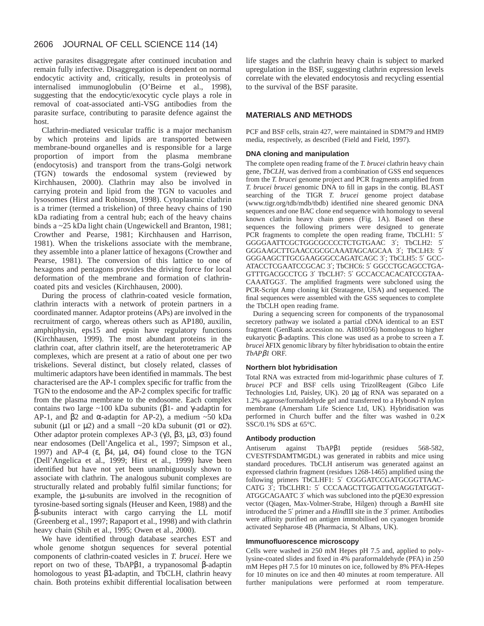active parasites disaggregate after continued incubation and remain fully infective. Disaggregation is dependent on normal endocytic activity and, critically, results in proteolysis of internalised immunoglobulin (O'Beirne et al., 1998), suggesting that the endocytic/exocytic cycle plays a role in removal of coat-associated anti-VSG antibodies from the parasite surface, contributing to parasite defence against the host.

Clathrin-mediated vesicular traffic is a major mechanism by which proteins and lipids are transported between membrane-bound organelles and is responsible for a large proportion of import from the plasma membrane (endocytosis) and transport from the trans-Golgi network (TGN) towards the endosomal system (reviewed by Kirchhausen, 2000). Clathrin may also be involved in carrying protein and lipid from the TGN to vacuoles and lysosomes (Hirst and Robinson, 1998). Cytoplasmic clathrin is a trimer (termed a triskelion) of three heavy chains of 190 kDa radiating from a central hub; each of the heavy chains binds a ~25 kDa light chain (Ungewickell and Branton, 1981; Crowther and Pearse, 1981; Kirchhausen and Harrison, 1981). When the triskelions associate with the membrane, they assemble into a planer lattice of hexagons (Crowther and Pearse, 1981). The conversion of this lattice to one of hexagons and pentagons provides the driving force for local deformation of the membrane and formation of clathrincoated pits and vesicles (Kirchhausen, 2000).

During the process of clathrin-coated vesicle formation, clathrin interacts with a network of protein partners in a coordinated manner. Adaptor proteins (APs) are involved in the recruitment of cargo, whereas others such as AP180, auxilin, amphiphysin, eps15 and epsin have regulatory functions (Kirchhausen, 1999). The most abundant proteins in the clathrin coat, after clathrin itself, are the heterotetrameric AP complexes, which are present at a ratio of about one per two triskelions. Several distinct, but closely related, classes of multimeric adaptors have been identified in mammals. The best characterised are the AP-1 complex specific for traffic from the TGN to the endosome and the AP-2 complex specific for traffic from the plasma membrane to the endosome. Each complex contains two large ~100 kDa subunits (β1- and γ-adaptin for AP-1, and β2 and  $α$ -adaptin for AP-2), a medium ~50 kDa subunit ( $\mu$ 1 or  $\mu$ 2) and a small ~20 kDa subunit ( $\sigma$ 1 or  $\sigma$ 2). Other adaptor protein complexes AP-3 (γ3, β3, µ3, σ3) found near endosomes (Dell'Angelica et al., 1997; Simpson et al., 1997) and AP-4 (ε,  $\beta$ 4,  $\mu$ 4,  $\sigma$ 4) found close to the TGN (Dell'Angelica et al., 1999; Hirst et al., 1999) have been identified but have not yet been unambiguously shown to associate with clathrin. The analogous subunit complexes are structurally related and probably fulfil similar functions; for example, the µ-subunits are involved in the recognition of tyrosine-based sorting signals (Heuser and Keen, 1988) and the β-subunits interact with cargo carrying the LL motif (Greenberg et al., 1997; Rapaport et al., 1998) and with clathrin heavy chain (Shih et al., 1995; Owen et al., 2000).

We have identified through database searches EST and whole genome shotgun sequences for several potential components of clathrin-coated vesicles in *T. brucei*. Here we report on two of these, TbAPβ1, a trypanosomal β-adaptin homologous to yeast β1-adaptin, and TbCLH, clathrin heavy chain. Both proteins exhibit differential localisation between life stages and the clathrin heavy chain is subject to marked upregulation in the BSF, suggesting clathrin expression levels correlate with the elevated endocytosis and recycling essential to the survival of the BSF parasite.

# **MATERIALS AND METHODS**

PCF and BSF cells, strain 427, were maintained in SDM79 and HMI9 media, respectively, as described (Field and Field, 1997).

#### **DNA cloning and manipulation**

The complete open reading frame of the *T. brucei* clathrin heavy chain gene, *TbCLH*, was derived from a combination of GSS end sequences from the *T. brucei* genome project and PCR fragments amplified from *T. brucei brucei* genomic DNA to fill in gaps in the contig. BLAST searching of the TIGR *T. brucei* genome project database (www.tigr.org/tdb/mdb/tbdb) identified nine sheared genomic DNA sequences and one BAC clone end sequence with homology to several known clathrin heavy chain genes (Fig. 1A). Based on these sequences the following primers were designed to generate PCR fragments to complete the open reading frame, TbCLH1: 5′ GGGGAATTCGCTGGCGCCCCTCTGTGAAC 3′; TbCLH2: 5′ GGGAAGCTTGAACCGCGCAAATAGCAGCAA 3′; TbCLH3: 5′ GGGAAGCTTGCGAAGGGCCAGATCAGC 3′; TbCLH5: 5′ GCC-ATACCTCGAATCCGCAC 3′; TbCHC6: 5′ GGCCTGCAGCCTGA-GTTTGACGCCTCG 3′ TbCLH7: 5′ GCCACCACACATCCGTAA-CAAATGG3′. The amplified fragments were subcloned using the PCR-Script Amp cloning kit (Stratagene, USA) and sequenced. The final sequences were assembled with the GSS sequences to complete the TbCLH open reading frame.

During a sequencing screen for components of the trypanosomal secretory pathway we isolated a partial cDNA identical to an EST fragment (GenBank accession no. AI881056) homologous to higher eukaryotic β-adaptins. This clone was used as a probe to screen a *T. brucei* λFIX genomic library by filter hybridisation to obtain the entire *TbAP*β*1* ORF.

#### **Northern blot hybridisation**

Total RNA was extracted from mid-logarithmic phase cultures of *T. brucei* PCF and BSF cells using TrizolReagent (Gibco Life Technologies Ltd, Paisley, UK). 20 µg of RNA was separated on a 1.2% agarose/formaldehyde gel and transferred to a Hybond-N nylon membrane (Amersham Life Science Ltd, UK). Hybridisation was performed in Church buffer and the filter was washed in 0.2× SSC/0.1% SDS at 65°C.

# **Antibody production**

Antiserum against TbAPβ1 peptide (residues 568-582, CVESTFSDAMTMGDL) was generated in rabbits and mice using standard procedures. TbCLH antiserum was generated against an expressed clathrin fragment (residues 1268-1465) amplified using the following primers TbCLHF1: 5′ CGGGATCCGATGCGGTTAAC-CATG 3′; TbCLHR1: 5′ CCCAAGCTTGGATTCGAGGTATGGT-ATGGCAGAATC 3′ which was subcloned into the pQE30 expression vector (Qiagen, Max-Volmer-Strabe, Hilgen) through a *Bam*HI site introduced the 5′ primer and a *Hind*III site in the 3′ primer. Antibodies were affinity purified on antigen immobilised on cyanogen bromide activated Sepharose 4B (Pharmacia, St Albans, UK).

#### **Immunofluorescence microscopy**

Cells were washed in 250 mM Hepes pH 7.5 and, applied to polylysine-coated slides and fixed in 4% paraformaldehyde (PFA) in 250 mM Hepes pH 7.5 for 10 minutes on ice, followed by 8% PFA-Hepes for 10 minutes on ice and then 40 minutes at room temperature. All further manipulations were performed at room temperature.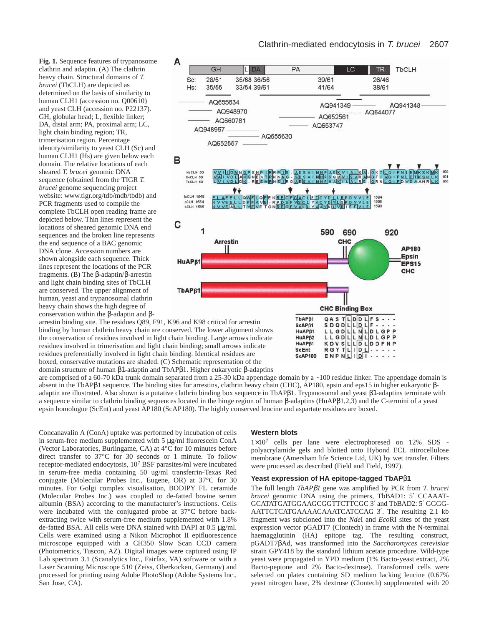**Fig. 1.** Sequence features of trypanosome clathrin and adaptin. (A) The clathrin heavy chain. Structural domains of *T. brucei* (TbCLH) are depicted as determined on the basis of similarity to human CLH1 (accession no. Q00610) and yeast CLH (accession no. P22137). GH, globular head; L, flexible linker; DA, distal arm; PA, proximal arm; LC, light chain binding region; TR, trimerisation region. Percentage identity/similarity to yeast CLH (Sc) and human CLH1 (Hs) are given below each domain. The relative locations of each sheared *T. brucei* genomic DNA sequence (obtained from the TIGR *T. brucei* genome sequencing project website: www.tigr.org/tdb/mdb/tbdb) and PCR fragments used to compile the complete TbCLH open reading frame are depicted below. Thin lines represent the locations of sheared genomic DNA end sequences and the broken line represents the end sequence of a BAC genomic DNA clone. Accession numbers are shown alongside each sequence. Thick lines represent the locations of the PCR fragments. (B) The β-adaptin/β-arrestin and light chain binding sites of TbCLH are conserved. The upper alignment of human, yeast and trypanosomal clathrin heavy chain shows the high degree of conservation within the β-adaptin and β-



**ScEnt ScAP180** 

arrestin binding site. The residues Q89, F91, K96 and K98 critical for arrestin binding by human clathrin heavy chain are conserved. The lower alignment shows the conservation of residues involved in light chain binding. Large arrows indicate residues involved in trimerisation and light chain binding; small arrows indicate residues preferentially involved in light chain binding. Identical residues are boxed, conservative mutations are shaded. (C) Schematic representation of the domain structure of human β1-adaptin and TbAPβ1. Higher eukaryotic β-adaptins

are comprised of a 60-70 kDa trunk domain separated from a 25-30 kDa appendage domain by a ~100 residue linker. The appendage domain is absent in the TbAPβ1 sequence. The binding sites for arrestins, clathrin heavy chain (CHC), AP180, epsin and eps15 in higher eukaryotic βadaptin are illustrated. Also shown is a putative clathrin binding box sequence in TbAPβ1. Trypanosomal and yeast β1-adaptins terminate with a sequence similar to clathrin binding sequences located in the hinge region of human β-adaptins (HuAPβ1,2,3) and the C-termini of a yeast epsin homologue (ScEnt) and yeast AP180 (ScAP180). The highly conserved leucine and aspartate residues are boxed.

Concanavalin A (ConA) uptake was performed by incubation of cells in serum-free medium supplemented with 5 µg/ml fluorescein ConA (Vector Laboratories, Burlingame, CA) at 4°C for 10 minutes before direct transfer to 37°C for 30 seconds or 1 minute. To follow receptor-mediated endocytosis, 10<sup>7</sup> BSF parasites/ml were incubated in serum-free media containing 50 ug/ml transferrin-Texas Red conjugate (Molecular Probes Inc., Eugene, OR) at 37°C for 30 minutes. For Golgi complex visualisation, BODIPY FL ceramide (Molecular Probes Inc.) was coupled to de-fatted bovine serum albumin (BSA) according to the manufacturer's instructions. Cells were incubated with the conjugated probe at 37°C before backextracting twice with serum-free medium supplemented with 1.8% de-fatted BSA. All cells were DNA stained with DAPI at 0.5 µg/ml. Cells were examined using a Nikon Microphot II epifluorescence microscope equipped with a CH350 Slow Scan CCD camera (Photometrics, Tuscon, AZ). Digital images were captured using IP Lab spectrum 3.1 (Scanalytics Inc., Fairfax, VA) software or with a Laser Scanning Microscope 510 (Zeiss, Oberkocken, Germany) and processed for printing using Adobe PhotoShop (Adobe Systems Inc., San Jose, CA).

#### **Western blots**

1×10<sup>7</sup> cells per lane were electrophoresed on 12% SDS polyacrylamide gels and blotted onto Hybond ECL nitrocellulose membrane (Amersham life Science Ltd, UK) by wet transfer. Filters were processed as described (Field and Field, 1997).

ENPNLIDI

#### **Yeast expression of HA epitope-tagged TbAP**β**1**

The full length *TbAP*β*1* gene was amplified by PCR from *T. brucei brucei* genomic DNA using the primers, TbBAD1: 5′ CCAAAT-GCATATGATGGAAGCGGTTCTTCGC 3′ and TbBAD2: 5′ GGGG-AATTCTCATGAAAACAAATCATCCAG 3′. The resulting 2.1 kb fragment was subcloned into the *Nde*I and *Eco*RI sites of the yeast expression vector pGADT7 (Clontech) in frame with the N-terminal haemagglutinin (HA) epitope tag. The resulting construct, pGADT7βAd, was transformed into the *Saccharomyces cerevisiae* strain GPY418 by the standard lithium acetate procedure. Wild-type yeast were propagated in YPD medium (1% Bacto-yeast extract, 2% Bacto-peptone and 2% Bacto-dextrose). Transformed cells were selected on plates containing SD medium lacking leucine (0.67% yeast nitrogen base, 2% dextrose (Clontech) supplemented with 20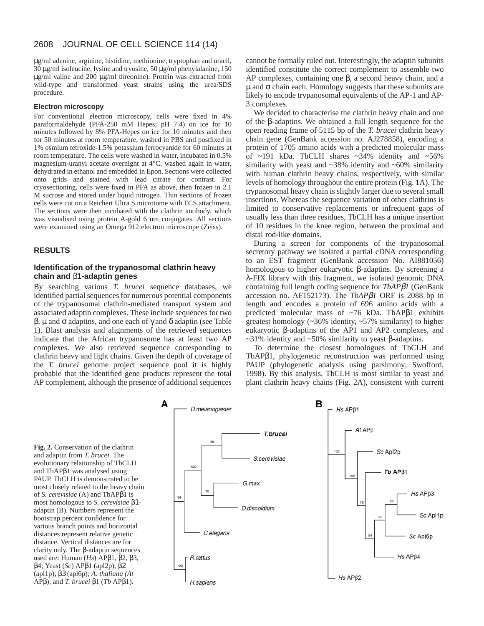µg/ml adenine, arginine, histidine, methionine, tryptophan and uracil, 30 µg/ml isoleucine, lysine and tryosine, 50 µg/ml phenylalanine, 150 µg/ml valine and 200 µg/ml threonine). Protein was extracted from wild-type and transformed yeast strains using the urea/SDS procedure.

#### **Electron microscopy**

For conventional electron microscopy, cells were fixed in 4% paraformaldehyde (PFA-250 mM Hepes; pH 7.4) on ice for 10 minutes followed by 8% PFA-Hepes on ice for 10 minutes and then for 50 minutes at room temperature, washed in PBS and postfixed in 1% osmium tetroxide-1.5% potassium ferrocyanide for 60 minutes at room temperature. The cells were washed in water, incubated in 0.5% magnesium-uranyl acetate overnight at 4°C, washed again in water, dehydrated in ethanol and embedded in Epon. Sections were collected onto grids and stained with lead citrate for contrast. For cryosectioning, cells were fixed in PFA as above, then frozen in 2.1 M sucrose and stored under liquid nitrogen. Thin sections of frozen cells were cut on a Reichert Ultra S microtome with FCS attachment. The sections were then incubated with the clathrin antibody, which was visualised using protein A-gold 6 nm conjugates. All sections were examined using an Omega 912 electron microscope (Zeiss).

#### **RESULTS**

## **Identification of the trypanosomal clathrin heavy chain and** β**1-adaptin genes**

By searching various *T. brucei* sequence databases, we identified partial sequences for numerous potential components of the trypanosomal clathrin-mediated transport system and associated adaptin complexes. These include sequences for two β, µ and σ adaptins, and one each of γ and δ adaptin (see Table 1). Blast analysis and alignments of the retrieved sequences indicate that the African trypanosome has at least two AP complexes. We also retrieved sequence corresponding to clathrin heavy and light chains. Given the depth of coverage of the *T. brucei* genome project sequence pool it is highly probable that the identified gene products represent the total AP complement, although the presence of additional sequences cannot be formally ruled out. Interestingly, the adaptin subunits identified constitute the correct complement to assemble two AP complexes, containing one  $\beta$ , a second heavy chain, and a  $\mu$  and  $\sigma$  chain each. Homology suggests that these subunits are likely to encode trypanosomal equivalents of the AP-1 and AP-3 complexes.

We decided to characterise the clathrin heavy chain and one of the β-adaptins. We obtained a full length sequence for the open reading frame of 5115 bp of the *T. brucei* clathrin heavy chain gene (GenBank accession no. AJ278858), encoding a protein of 1705 amino acids with a predicted molecular mass of  $\sim$ 191 kDa. TbCLH shares  $\sim$ 34% identity and  $\sim$ 56% similarity with yeast and ~38% identity and ~60% similarity with human clathrin heavy chains, respectively, with similar levels of homology throughout the entire protein (Fig. 1A). The trypanosomal heavy chain is slightly larger due to several small insertions. Whereas the sequence variation of other clathrins is limited to conservative replacements or infrequent gaps of usually less than three residues, TbCLH has a unique insertion of 10 residues in the knee region, between the proximal and distal rod-like domains.

During a screen for components of the trypanosomal secretory pathway we isolated a partial cDNA corresponding to an EST fragment (GenBank accession No. AI881056) homologous to higher eukaryotic β-adaptins. By screening a λ-FIX library with this fragment, we isolated genomic DNA containing full length coding sequence for *TbAP*β*1* (GenBank accession no. AF152173). The *TbAP*β*1* ORF is 2088 bp in length and encodes a protein of 696 amino acids with a predicted molecular mass of ~76 kDa. TbAPβ1 exhibits greatest homology (~36% identity, ~57% similarity) to higher eukaryotic β-adaptins of the AP1 and AP2 complexes, and  $~\sim$ 31% identity and  $~\sim$ 50% similarity to yeast β-adaptins.

To determine the closest homologues of TbCLH and TbAPβ1, phylogenetic reconstruction was performed using PAUP (phylogenetic analysis using parsimony; Swofford, 1998). By this analysis, TbCLH is most similar to yeast and plant clathrin heavy chains (Fig. 2A), consistent with current

**Fig. 2.** Conservation of the clathrin and adaptin from *T. brucei*. The evolutionary relationship of TbCLH and TbAPβ1 was analysed using PAUP. TbCLH is demonstrated to be most closely related to the heavy chain of *S. cerevisiae* (A) and TbAPβ1 is most homologous to *S. cerevisiae* β1 adaptin (B). Numbers represent the bootstrap percent confidence for various branch points and horizontal distances represent relative genetic distance. Vertical distances are for clarity only. The β-adaptin sequences used are: Human (*Hs*) APβ1, β2, β3, β4; Yeast (*Sc*) APβ1 (apl2p), β2 (apl1p), β3 (apl6p); *A. thaliana (At* APβ); and *T. brucei* β1 (*Tb* APβ1).

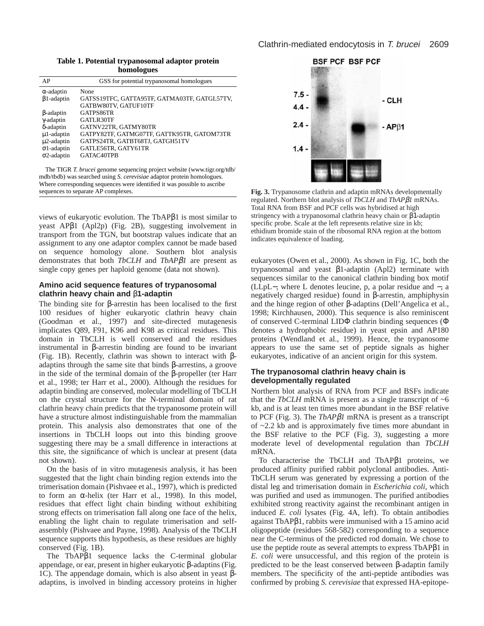**Table 1. Potential trypanosomal adaptor protein homologues**

| AP                 | GSS for potential trypanosomal homologues    |
|--------------------|----------------------------------------------|
| $\alpha$ -adaptin  | None                                         |
| $\beta$ 1-adaptin  | GATSS19TFC, GATTA95TF, GATMA03TF, GATGL57TV, |
|                    | GATBW80TV, GATUF10TF                         |
| $\beta$ -adaptin   | GATPS86TR                                    |
| $\gamma$ -adaptin  | GATLR30TF                                    |
| δ-adaptin          | GATNV22TR, GATMY80TR                         |
| $\mu$ 1-adaptin    | GATPY82TF, GATMG07TF, GATTK95TR, GATOM73TR   |
| $\mu$ 2-adaptin    | GATPS24TR, GATBT68TJ, GATGH51TV              |
| $\sigma$ 1-adaptin | GATLE56TR, GATY61TR                          |
| $\sigma$ 2-adaptin | GATAC40TPB                                   |
|                    |                                              |
|                    |                                              |

The TIGR *T. brucei* genome sequencing project website (www.tigr.org/tdb/ mdb/tbdb) was searched using *S. cerevisiae* adaptor protein homologues. Where corresponding sequences were identified it was possible to ascribe sequences to separate AP complexes.

views of eukaryotic evolution. The TbAPβ1 is most similar to yeast APβ1 (Apl2p) (Fig. 2B), suggesting involvement in transport from the TGN, but bootstrap values indicate that an assignment to any one adaptor complex cannot be made based on sequence homology alone. Southern blot analysis demonstrates that both *TbCLH* and *TbAP*β*1* are present as single copy genes per haploid genome (data not shown).

### **Amino acid sequence features of trypanosomal clathrin heavy chain and** β**1-adaptin**

The binding site for β-arrestin has been localised to the first 100 residues of higher eukaryotic clathrin heavy chain (Goodman et al., 1997) and site-directed mutagenesis implicates Q89, F91, K96 and K98 as critical residues. This domain in TbCLH is well conserved and the residues instrumental in β-arrestin binding are found to be invariant (Fig. 1B). Recently, clathrin was shown to interact with βadaptins through the same site that binds β-arrestins, a groove in the side of the terminal domain of the β-propeller (ter Harr et al., 1998; ter Harr et al., 2000). Although the residues for adaptin binding are conserved, molecular modelling of TbCLH on the crystal structure for the N-terminal domain of rat clathrin heavy chain predicts that the trypanosome protein will have a structure almost indistinguishable from the mammalian protein. This analysis also demonstrates that one of the insertions in TbCLH loops out into this binding groove suggesting there may be a small difference in interactions at this site, the significance of which is unclear at present (data not shown).

On the basis of in vitro mutagenesis analysis, it has been suggested that the light chain binding region extends into the trimerisation domain (Pishvaee et al., 1997), which is predicted to form an α-helix (ter Harr et al., 1998). In this model, residues that effect light chain binding without exhibiting strong effects on trimerisation fall along one face of the helix, enabling the light chain to regulate trimerisation and selfassembly (Pishvaee and Payne, 1998). Analysis of the TbCLH sequence supports this hypothesis, as these residues are highly conserved (Fig. 1B).

The TbAPβ1 sequence lacks the C-terminal globular appendage, or ear, present in higher eukaryotic β-adaptins (Fig. 1C). The appendage domain, which is also absent in yeast βadaptins, is involved in binding accessory proteins in higher



**Fig. 3.** Trypanosome clathrin and adaptin mRNAs developmentally regulated. Northern blot analysis of *TbCLH* and *TbAP*β*1* mRNAs. Total RNA from BSF and PCF cells was hybridised at high stringency with a trypanosomal clathrin heavy chain or β1-adaptin specific probe. Scale at the left represents relative size in kb; ethidium bromide stain of the ribosomal RNA region at the bottom indicates equivalence of loading.

eukaryotes (Owen et al., 2000). As shown in Fig. 1C, both the trypanosomal and yeast β1-adaptin (Apl2) terminate with sequences similar to the canonical clathrin binding box motif (LLpL−, where L denotes leucine, p, a polar residue and −, a negatively charged residue) found in β-arrestin, amphiphysin and the hinge region of other β-adaptins (Dell'Angelica et al., 1998; Kirchhausen, 2000). This sequence is also reminiscent of conserved C-terminal LIDΦ clathrin binding sequences (Φ denotes a hydrophobic residue) in yeast epsin and AP180 proteins (Wendland et al., 1999). Hence, the trypanosome appears to use the same set of peptide signals as higher eukaryotes, indicative of an ancient origin for this system.

# **The trypanosomal clathrin heavy chain is developmentally regulated**

Northern blot analysis of RNA from PCF and BSFs indicate that the *TbCLH* mRNA is present as a single transcript of  $~6$ kb, and is at least ten times more abundant in the BSF relative to PCF (Fig. 3). The *TbAP*β*1* mRNA is present as a transcript of ~2.2 kb and is approximately five times more abundant in the BSF relative to the PCF (Fig. 3), suggesting a more moderate level of developmental regulation than *TbCLH* mRNA.

To characterise the TbCLH and TbAPβ1 proteins, we produced affinity purified rabbit polyclonal antibodies. Anti-TbCLH serum was generated by expressing a portion of the distal leg and trimerisation domain in *Escherichia coli*, which was purified and used as immunogen. The purified antibodies exhibited strong reactivity against the recombinant antigen in induced *E. coli* lysates (Fig. 4A, left). To obtain antibodies against TbAPβ1, rabbits were immunised with a 15 amino acid oligopeptide (residues 568-582) corresponding to a sequence near the C-terminus of the predicted rod domain. We chose to use the peptide route as several attempts to express TbAPβ1 in *E. coli* were unsuccessful, and this region of the protein is predicted to be the least conserved between β-adaptin family members. The specificity of the anti-peptide antibodies was confirmed by probing *S. cerevisiae* that expressed HA-epitope-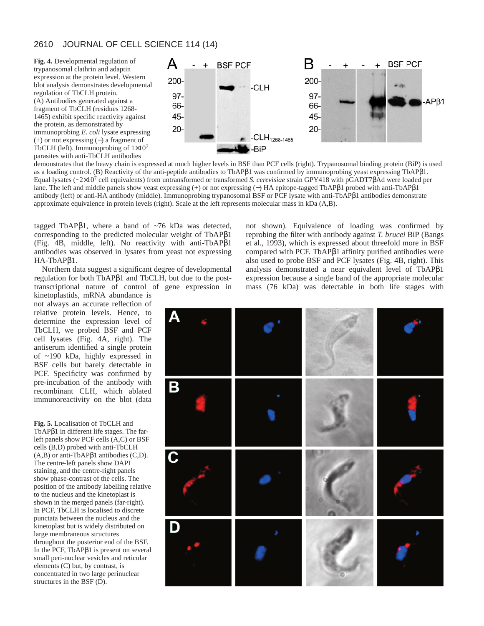**Fig. 4.** Developmental regulation of trypanosomal clathrin and adaptin expression at the protein level. Western blot analysis demonstrates developmental regulation of TbCLH protein. (A) Antibodies generated against a fragment of TbCLH (residues 1268- 1465) exhibit specific reactivity against the protein, as demonstrated by immunoprobing *E. coli* lysate expressing (+) or not expressing (−) a fragment of TbCLH (left). Immunoprobing of  $1\times10^7$ parasites with anti-TbCLH antibodies



demonstrates that the heavy chain is expressed at much higher levels in BSF than PCF cells (right). Trypanosomal binding protein (BiP) is used as a loading control. (B) Reactivity of the anti-peptide antibodies to TbAPβ1 was confirmed by immunoprobing yeast expressing TbAPβ1. Equal lysates (~2×10<sup>7</sup> cell equivalents) from untransformed or transformed *S. cerevisiae* strain GPY418 with pGADT7βAd were loaded per lane. The left and middle panels show yeast expressing (+) or not expressing (−) HA epitope-tagged TbAPβ1 probed with anti-TbAPβ1 antibody (left) or anti-HA antibody (middle). Immunoprobing trypanosomal BSF or PCF lysate with anti-TbAPβ1 antibodies demonstrate approximate equivalence in protein levels (right). Scale at the left represents molecular mass in kDa (A,B).

tagged TbAPβ1, where a band of  $~1$ 6 kDa was detected, corresponding to the predicted molecular weight of TbAPβ1 (Fig. 4B, middle, left). No reactivity with anti-TbAPβ1 antibodies was observed in lysates from yeast not expressing HA-TbAPβ1.

Northern data suggest a significant degree of developmental regulation for both TbAPβ1 and TbCLH, but due to the posttranscriptional nature of control of gene expression in

kinetoplastids, mRNA abundance is not always an accurate reflection of relative protein levels. Hence, to determine the expression level of TbCLH, we probed BSF and PCF cell lysates (Fig. 4A, right). The antiserum identified a single protein of ~190 kDa, highly expressed in BSF cells but barely detectable in PCF. Specificity was confirmed by pre-incubation of the antibody with recombinant CLH, which ablated immunoreactivity on the blot (data

**Fig. 5.** Localisation of TbCLH and TbAPβ1 in different life stages. The farleft panels show PCF cells (A,C) or BSF cells (B,D) probed with anti-TbCLH  $(A,B)$  or anti-TbAP $\beta$ 1 antibodies  $(C,D)$ . The centre-left panels show DAPI staining, and the centre-right panels show phase-contrast of the cells. The position of the antibody labelling relative to the nucleus and the kinetoplast is shown in the merged panels (far-right). In PCF, TbCLH is localised to discrete punctata between the nucleus and the kinetoplast but is widely distributed on large membraneous structures throughout the posterior end of the BSF. In the PCF, TbAPβ1 is present on several small peri-nuclear vesicles and reticular elements (C) but, by contrast, is concentrated in two large perinuclear structures in the BSF (D).

not shown). Equivalence of loading was confirmed by reprobing the filter with antibody against *T. brucei* BiP (Bangs et al., 1993), which is expressed about threefold more in BSF compared with PCF. TbAPβ1 affinity purified antibodies were also used to probe BSF and PCF lysates (Fig. 4B, right). This analysis demonstrated a near equivalent level of TbAPβ1 expression because a single band of the appropriate molecular mass (76 kDa) was detectable in both life stages with

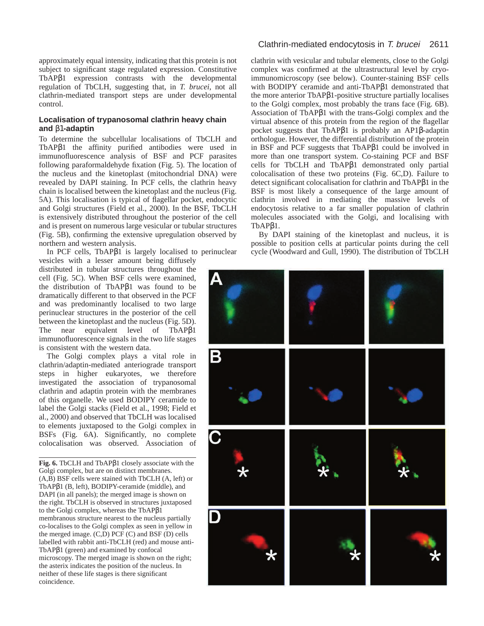approximately equal intensity, indicating that this protein is not subject to significant stage regulated expression. Constitutive TbAPβ1 expression contrasts with the developmental regulation of TbCLH, suggesting that, in *T. brucei*, not all clathrin-mediated transport steps are under developmental control.

### **Localisation of trypanosomal clathrin heavy chain and** β1**-adaptin**

To determine the subcellular localisations of TbCLH and TbAPβ1 the affinity purified antibodies were used in immunofluorescence analysis of BSF and PCF parasites following paraformaldehyde fixation (Fig. 5). The location of the nucleus and the kinetoplast (mitochondrial DNA) were revealed by DAPI staining. In PCF cells, the clathrin heavy chain is localised between the kinetoplast and the nucleus (Fig. 5A). This localisation is typical of flagellar pocket, endocytic and Golgi structures (Field et al., 2000). In the BSF, TbCLH is extensively distributed throughout the posterior of the cell and is present on numerous large vesicular or tubular structures (Fig. 5B), confirming the extensive upregulation observed by northern and western analysis.

In PCF cells, TbAPβ1 is largely localised to perinuclear

vesicles with a lesser amount being diffusely distributed in tubular structures throughout the cell (Fig. 5C). When BSF cells were examined, the distribution of TbAPβ1 was found to be dramatically different to that observed in the PCF and was predominantly localised to two large perinuclear structures in the posterior of the cell between the kinetoplast and the nucleus (Fig. 5D). The near equivalent level of TbAPβ1 immunofluorescence signals in the two life stages is consistent with the western data.

The Golgi complex plays a vital role in clathrin/adaptin-mediated anteriograde transport steps in higher eukaryotes, we therefore investigated the association of trypanosomal clathrin and adaptin protein with the membranes of this organelle. We used BODIPY ceramide to label the Golgi stacks (Field et al., 1998; Field et al., 2000) and observed that TbCLH was localised to elements juxtaposed to the Golgi complex in BSFs (Fig. 6A). Significantly, no complete colocalisation was observed. Association of

**Fig. 6.** TbCLH and TbAPβ1 closely associate with the Golgi complex, but are on distinct membranes. (A,B) BSF cells were stained with TbCLH (A, left) or TbAPβ1 (B, left), BODIPY-ceramide (middle), and DAPI (in all panels); the merged image is shown on the right. TbCLH is observed in structures juxtaposed to the Golgi complex, whereas the TbAPβ1 membranous structure nearest to the nucleus partially co-localises to the Golgi complex as seen in yellow in the merged image.  $(C,D)$  PCF  $(C)$  and BSF  $(D)$  cells labelled with rabbit anti-TbCLH (red) and mouse anti-TbAPβ1 (green) and examined by confocal microscopy. The merged image is shown on the right; the asterix indicates the position of the nucleus. In neither of these life stages is there significant coincidence.

# Clathrin-mediated endocytosis in T. brucei 2611

clathrin with vesicular and tubular elements, close to the Golgi complex was confirmed at the ultrastructural level by cryoimmunomicroscopy (see below). Counter-staining BSF cells with BODIPY ceramide and anti-TbAPβ1 demonstrated that the more anterior TbAPβ1-positive structure partially localises to the Golgi complex, most probably the trans face (Fig. 6B). Association of TbAPβ1 with the trans-Golgi complex and the virtual absence of this protein from the region of the flagellar pocket suggests that TbAPβ1 is probably an AP1β-adaptin orthologue. However, the differential distribution of the protein in BSF and PCF suggests that TbAPβ1 could be involved in more than one transport system. Co-staining PCF and BSF cells for TbCLH and TbAPβ1 demonstrated only partial colocalisation of these two proteins (Fig. 6C,D). Failure to detect significant colocalisation for clathrin and TbAPβ1 in the BSF is most likely a consequence of the large amount of clathrin involved in mediating the massive levels of endocytosis relative to a far smaller population of clathrin molecules associated with the Golgi, and localising with TbAPβ1.

By DAPI staining of the kinetoplast and nucleus, it is possible to position cells at particular points during the cell cycle (Woodward and Gull, 1990). The distribution of TbCLH

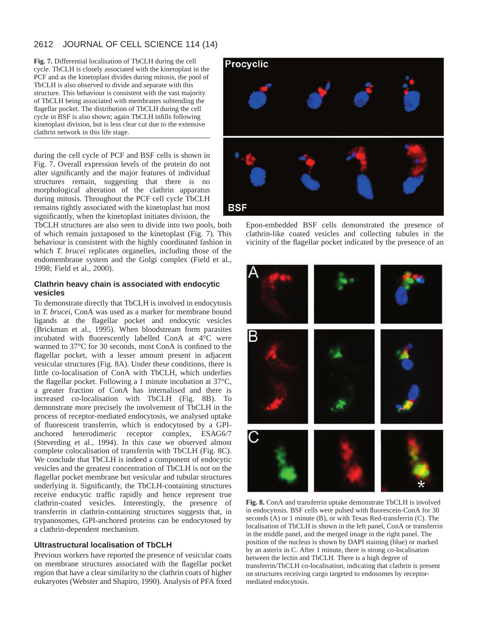**Fig. 7.** Differential localisation of TbCLH during the cell cycle. TbCLH is closely associated with the kinetoplast in the PCF and as the kinetoplast divides during mitosis, the pool of TbCLH is also observed to divide and separate with this structure. This behaviour is consistent with the vast majority of TbCLH being associated with membranes subtending the flagellar pocket. The distribution of TbCLH during the cell cycle in BSF is also shown; again TbCLH infills following kinetoplast division, but is less clear cut due to the extensive clathrin network in this life stage.

during the cell cycle of PCF and BSF cells is shown in Fig. 7. Overall expression levels of the protein do not alter significantly and the major features of individual structures remain, suggesting that there is no morphological alteration of the clathrin apparatus during mitosis. Throughout the PCF cell cycle TbCLH remains tightly associated with the kinetoplast but most significantly, when the kinetoplast initiates division, the

TbCLH structures are also seen to divide into two pools, both of which remain juxtaposed to the kinetoplast (Fig. 7). This behaviour is consistent with the highly coordinated fashion in which *T. brucei* replicates organelles, including those of the endomembrane system and the Golgi complex (Field et al., 1998; Field et al., 2000).

# **Clathrin heavy chain is associated with endocytic vesicles**

To demonstrate directly that TbCLH is involved in endocytosis in *T. brucei*, ConA was used as a marker for membrane bound ligands at the flagellar pocket and endocytic vesicles (Brickman et al., 1995). When bloodstream form parasites incubated with fluorescently labelled ConA at 4°C were warmed to 37°C for 30 seconds, most ConA is confined to the flagellar pocket, with a lesser amount present in adjacent vesicular structures (Fig. 8A). Under these conditions, there is little co-localisation of ConA with TbCLH, which underlies the flagellar pocket. Following a 1 minute incubation at 37°C, a greater fraction of ConA has internalised and there is increased co-localisation with TbCLH (Fig. 8B). To demonstrate more precisely the involvement of TbCLH in the process of receptor-mediated endocytosis, we analysed uptake of fluorescent transferrin, which is endocytosed by a GPIanchored heterodimeric receptor complex, ESAG6/7 (Steverding et al., 1994). In this case we observed almost complete colocalisation of transferrin with TbCLH (Fig. 8C). We conclude that TbCLH is indeed a component of endocytic vesicles and the greatest concentration of TbCLH is not on the flagellar pocket membrane but vesicular and tubular structures underlying it. Significantly, the TbCLH-containing structures receive endocytic traffic rapidly and hence represent true clathrin-coated vesicles. Interestingly, the presence of transferrin in clathrin-containing structures suggests that, in trypanosomes, GPI-anchored proteins can be endocytosed by a clathrin-dependent mechanism.

# **Ultrastructural localisation of TbCLH**

Previous workers have reported the presence of vesicular coats on membrane structures associated with the flagellar pocket region that have a clear similarity to the clathrin coats of higher eukaryotes (Webster and Shapiro, 1990). Analysis of PFA fixed



Epon-embedded BSF cells demonstrated the presence of clathrin-like coated vesicles and collecting tubules in the vicinity of the flagellar pocket indicated by the presence of an



**Fig. 8.** ConA and transferrin uptake demonstrate TbCLH is involved in endocytosis. BSF cells were pulsed with fluorescein-ConA for 30 seconds (A) or 1 minute (B), or with Texas Red-transferrin (C). The localisation of TbCLH is shown in the left panel, ConA or transferrin in the middle panel, and the merged image in the right panel. The position of the nucleus is shown by DAPI staining (blue) or marked by an asterix in C. After 1 minute, there is strong co-localisation between the lectin and TbCLH. There is a high degree of transferrin/TbCLH co-localisation, indicating that clathrin is present on structures receiving cargo targeted to endosomes by receptormediated endocytosis.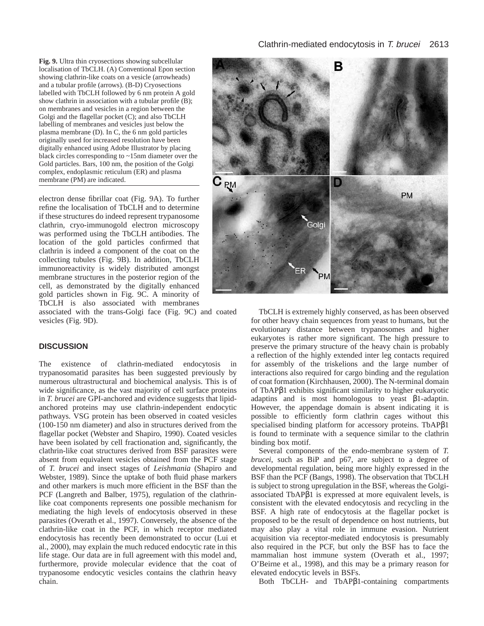**Fig. 9.** Ultra thin cryosections showing subcellular localisation of TbCLH. (A) Conventional Epon section showing clathrin-like coats on a vesicle (arrowheads) and a tubular profile (arrows). (B-D) Cryosections labelled with TbCLH followed by 6 nm protein A gold show clathrin in association with a tubular profile (B); on membranes and vesicles in a region between the Golgi and the flagellar pocket (C); and also TbCLH labelling of membranes and vesicles just below the plasma membrane (D). In C, the 6 nm gold particles originally used for increased resolution have been digitally enhanced using Adobe Illustrator by placing black circles corresponding to ~15nm diameter over the Gold particles. Bars, 100 nm, the position of the Golgi complex, endoplasmic reticulum (ER) and plasma membrane (PM) are indicated.

electron dense fibrillar coat (Fig. 9A). To further refine the localisation of TbCLH and to determine if these structures do indeed represent trypanosome clathrin, cryo-immunogold electron microscopy was performed using the TbCLH antibodies. The location of the gold particles confirmed that clathrin is indeed a component of the coat on the collecting tubules (Fig. 9B). In addition, TbCLH immunoreactivity is widely distributed amongst membrane structures in the posterior region of the cell, as demonstrated by the digitally enhanced gold particles shown in Fig. 9C. A minority of TbCLH is also associated with membranes

associated with the trans-Golgi face (Fig. 9C) and coated vesicles (Fig. 9D).

#### **DISCUSSION**

The existence of clathrin-mediated endocytosis in trypanosomatid parasites has been suggested previously by numerous ultrastructural and biochemical analysis. This is of wide significance, as the vast majority of cell surface proteins in *T. brucei* are GPI-anchored and evidence suggests that lipidanchored proteins may use clathrin-independent endocytic pathways. VSG protein has been observed in coated vesicles (100-150 nm diameter) and also in structures derived from the flagellar pocket (Webster and Shapiro, 1990). Coated vesicles have been isolated by cell fractionation and, significantly, the clathrin-like coat structures derived from BSF parasites were absent from equivalent vesicles obtained from the PCF stage of *T. brucei* and insect stages of *Leishmania* (Shapiro and Webster, 1989). Since the uptake of both fluid phase markers and other markers is much more efficient in the BSF than the PCF (Langreth and Balber, 1975), regulation of the clathrinlike coat components represents one possible mechanism for mediating the high levels of endocytosis observed in these parasites (Overath et al., 1997). Conversely, the absence of the clathrin-like coat in the PCF, in which receptor mediated endocytosis has recently been demonstrated to occur (Lui et al., 2000), may explain the much reduced endocytic rate in this life stage. Our data are in full agreement with this model and, furthermore, provide molecular evidence that the coat of trypanosome endocytic vesicles contains the clathrin heavy chain.



TbCLH is extremely highly conserved, as has been observed for other heavy chain sequences from yeast to humans, but the evolutionary distance between trypanosomes and higher eukaryotes is rather more significant. The high pressure to preserve the primary structure of the heavy chain is probably a reflection of the highly extended inter leg contacts required for assembly of the triskelions and the large number of interactions also required for cargo binding and the regulation of coat formation (Kirchhausen, 2000). The N-terminal domain of TbAPβ1 exhibits significant similarity to higher eukaryotic adaptins and is most homologous to yeast β1-adaptin. However, the appendage domain is absent indicating it is possible to efficiently form clathrin cages without this specialised binding platform for accessory proteins. TbAPβ1 is found to terminate with a sequence similar to the clathrin binding box motif.

Several components of the endo-membrane system of *T. brucei*, such as BiP and p67, are subject to a degree of developmental regulation, being more highly expressed in the BSF than the PCF (Bangs, 1998). The observation that TbCLH is subject to strong upregulation in the BSF, whereas the Golgiassociated TbAPβ1 is expressed at more equivalent levels, is consistent with the elevated endocytosis and recycling in the BSF. A high rate of endocytosis at the flagellar pocket is proposed to be the result of dependence on host nutrients, but may also play a vital role in immune evasion. Nutrient acquisition via receptor-mediated endocytosis is presumably also required in the PCF, but only the BSF has to face the mammalian host immune system (Overath et al., 1997; O'Beirne et al., 1998), and this may be a primary reason for elevated endocytic levels in BSFs.

Both TbCLH- and TbAPβ1-containing compartments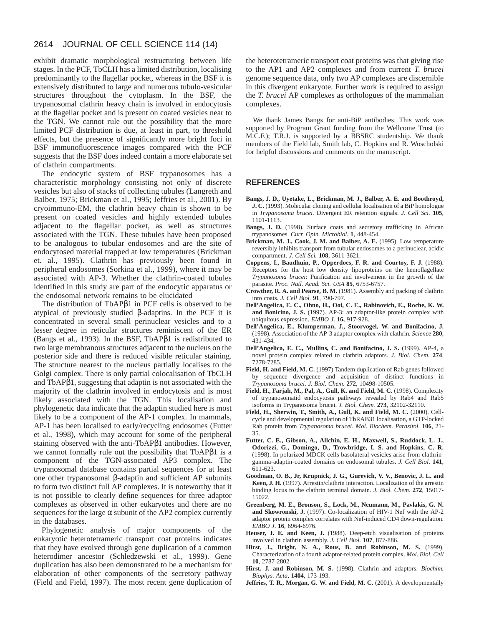exhibit dramatic morphological restructuring between life stages. In the PCF, TbCLH has a limited distribution, localising predominantly to the flagellar pocket, whereas in the BSF it is extensively distributed to large and numerous tubulo-vesicular structures throughout the cytoplasm. In the BSF, the trypanosomal clathrin heavy chain is involved in endocytosis at the flagellar pocket and is present on coated vesicles near to the TGN. We cannot rule out the possibility that the more limited PCF distribution is due, at least in part, to threshold effects, but the presence of significantly more bright foci in BSF immunofluorescence images compared with the PCF suggests that the BSF does indeed contain a more elaborate set of clathrin compartments.

The endocytic system of BSF trypanosomes has a characteristic morphology consisting not only of discrete vesicles but also of stacks of collecting tubules (Langreth and Balber, 1975; Brickman et al., 1995; Jeffries et al., 2001). By cryoimmuno-EM, the clathrin heavy chain is shown to be present on coated vesicles and highly extended tubules adjacent to the flagellar pocket, as well as structures associated with the TGN. These tubules have been proposed to be analogous to tubular endosomes and are the site of endocytosed material trapped at low temperatures (Brickman et. al., 1995). Clathrin has previously been found in peripheral endosomes (Sorkina et al., 1999), where it may be associated with AP-3. Whether the clathrin-coated tubules identified in this study are part of the endocytic apparatus or the endosomal network remains to be elucidated

The distribution of TbAPβ1 in PCF cells is observed to be atypical of previously studied β-adaptins. In the PCF it is concentrated in several small perinuclear vesicles and to a lesser degree in reticular structures reminiscent of the ER (Bangs et al., 1993). In the BSF, TbAPβ1 is redistributed to two large membranous structures adjacent to the nucleus on the posterior side and there is reduced visible reticular staining. The structure nearest to the nucleus partially localises to the Golgi complex. There is only partial colocalisation of TbCLH and TbAPβ1, suggesting that adaptin is not associated with the majority of the clathrin involved in endocytosis and is most likely associated with the TGN. This localisation and phylogenetic data indicate that the adaptin studied here is most likely to be a component of the AP-1 complex. In mammals, AP-1 has been localised to early/recycling endosomes (Futter et al., 1998), which may account for some of the peripheral staining observed with the anti-TbAPβ1 antibodies. However, we cannot formally rule out the possibility that TbAPβ1 is a component of the TGN-associated AP3 complex. The trypanosomal database contains partial sequences for at least one other trypanosomal β-adaptin and sufficient AP subunits to form two distinct full AP complexes. It is noteworthy that it is not possible to clearly define sequences for three adaptor complexes as observed in other eukaryotes and there are no sequences for the large  $\alpha$  subunit of the AP2 complex currently in the databases.

Phylogenetic analysis of major components of the eukaryotic heterotetrameric transport coat proteins indicates that they have evolved through gene duplication of a common heterodimer ancestor (Schledzewski et al., 1999). Gene duplication has also been demonstrated to be a mechanism for elaboration of other components of the secretory pathway (Field and Field, 1997). The most recent gene duplication of

the heterotetrameric transport coat proteins was that giving rise to the AP1 and AP2 complexes and from current *T. brucei* genome sequence data, only two AP complexes are discernible in this divergent eukaryote. Further work is required to assign the *T. brucei* AP complexes as orthologues of the mammalian complexes.

We thank James Bangs for anti-BiP antibodies. This work was supported by Program Grant funding from the Wellcome Trust (to M.C.F.); T.R.J. is supported by a BBSRC studentship. We thank members of the Field lab, Smith lab, C. Hopkins and R. Woscholski for helpful discussions and comments on the manuscript.

### **REFERENCES**

- **Bangs, J. D., Uyetake, L., Brickman, M. J., Balber, A. E. and Boothroyd, J. C.** (1993). Molecular cloning and cellular localisation of a BiP homologue in *Trypanosoma brucei.* Divergent ER retention signals. *J. Cell Sci.* **105**, 1101-1113.
- Bangs, J. D. (1998). Surface coats and secretory trafficking in African trypanosomes. *Curr. Opin. Microbiol.* **1**, 448-454.
- Brickman, M. J., Cook, J. M. and Balber, A. E. (1995). Low temperature reversibly inhibits transport from tubular endosomes to a perinuclear, acidic compartment. *J. Cell Sci.* **108**, 3611-3621.
- **Coppens, I., Baudhuin, P., Opperdoes, F. R. and Courtoy, F. J.** (1988). Receptors for the host low density lipoproteins on the hemoflagellate *Trypanosoma brucei*: Purification and involvement in the growth of the parasite. *Proc. Natl. Acad. Sci. USA* **85**, 6753-6757.
- **Crowther, R. A. and Pearse, B. M.** (1981). Assembly and packing of clathrin into coats. *J. Cell Biol.* **91**, 790-797.
- **Dell'Angelica, E. C., Ohno, H., Ooi, C. E., Rabinovich, E., Roche, K. W. and Bonicino, J. S.** (1997). AP-3: an adaptor-like protein complex with ubiquitous expression. *EMBO J*. **16,** 917-928.
- **Dell'Angelica, E., Klumperman, J., Stoorvogel, W. and Bonifacino, J.** (1998). Association of the AP-3 adaptor complex with clathrin. *Science* **280**, 431-434.
- **Dell'Angelica, E. C., Mullins, C. and Bonifacino, J. S.** (1999). AP-4, a novel protein complex related to clathrin adaptors. *J. Biol. Chem.* **274**, 7278-7285.
- Field, H. and Field, M. C. (1997) Tandem duplication of Rab genes followed by sequence divergence and acquisition of distinct functions in *Trypanosoma brucei*. *J. Biol. Chem*. **272**, 10498-10505.
- Field, H., Farjah, M., Pal, A., Gull, K. and Field, M. C. (1998). Complexity of trypanosomatid endocytosis pathways revealed by Rab4 and Rab5 isoforms in Trypanosoma brucei. *J. Biol. Chem.* **273**, 32102-32110.
- Field, H., Sherwin, T., Smith, A., Gull, K. and Field, M. C. (2000). Cellcycle and developmental regulation of TbRAB31 localisation, a GTP-locked Rab protein from *Trypanosoma brucei*. *Mol. Biochem. Parasitol*. **106**, 21- 35.
- **Futter, C. E., Gibson, A., Allchin, E. H., Maxwell, S., Ruddock, L. J., Odorizzi, G., Domingo, D., Trowbridge, I. S. and Hopkins, C. R.** (1998). In polarized MDCK cells basolateral vesicles arise from clathringamma-adaptin-coated domains on endosomal tubules. *J. Cell Biol.* **141**, 611-623.
- **Goodman, O. B., Jr, Krupnick, J. G., Gurevich, V. V., Benovic, J. L. and Keen, J. H.** (1997). Arrestin/clathrin interaction. Localization of the arrestin binding locus to the clathrin terminal domain. *J. Biol. Chem.* **272**, 15017- 15022.
- **Greenberg, M. E., Bronson, S., Lock, M., Neumann, M., Pavlakis, G. N. and Skowronski, J.** (1997). Co-localization of HIV-1 Nef with the AP-2 adaptor protein complex correlates with Nef-induced CD4 down-regulation. *EMBO J*. **16**, 6964-6976.
- Heuser, J. E. and Keen, J. (1988). Deep-etch visualisation of proteins involved in clathrin assembly. *J. Cell Biol.* **107**, 877-886.
- **Hirst, J., Bright, N. A., Rous, B. and Robinson, M. S.** (1999). Characterization of a fourth adaptor-related protein complex. *Mol. Biol. Cell* **10**, 2787-2802.
- **Hirst, J. and Robinson, M. S.** (1998). Clathrin and adaptors. *Biochim. Biophys. Acta*, **1404**, 173-193.
- Jeffries, T. R., Morgan, G. W. and Field, M. C. (2001). A developmentally